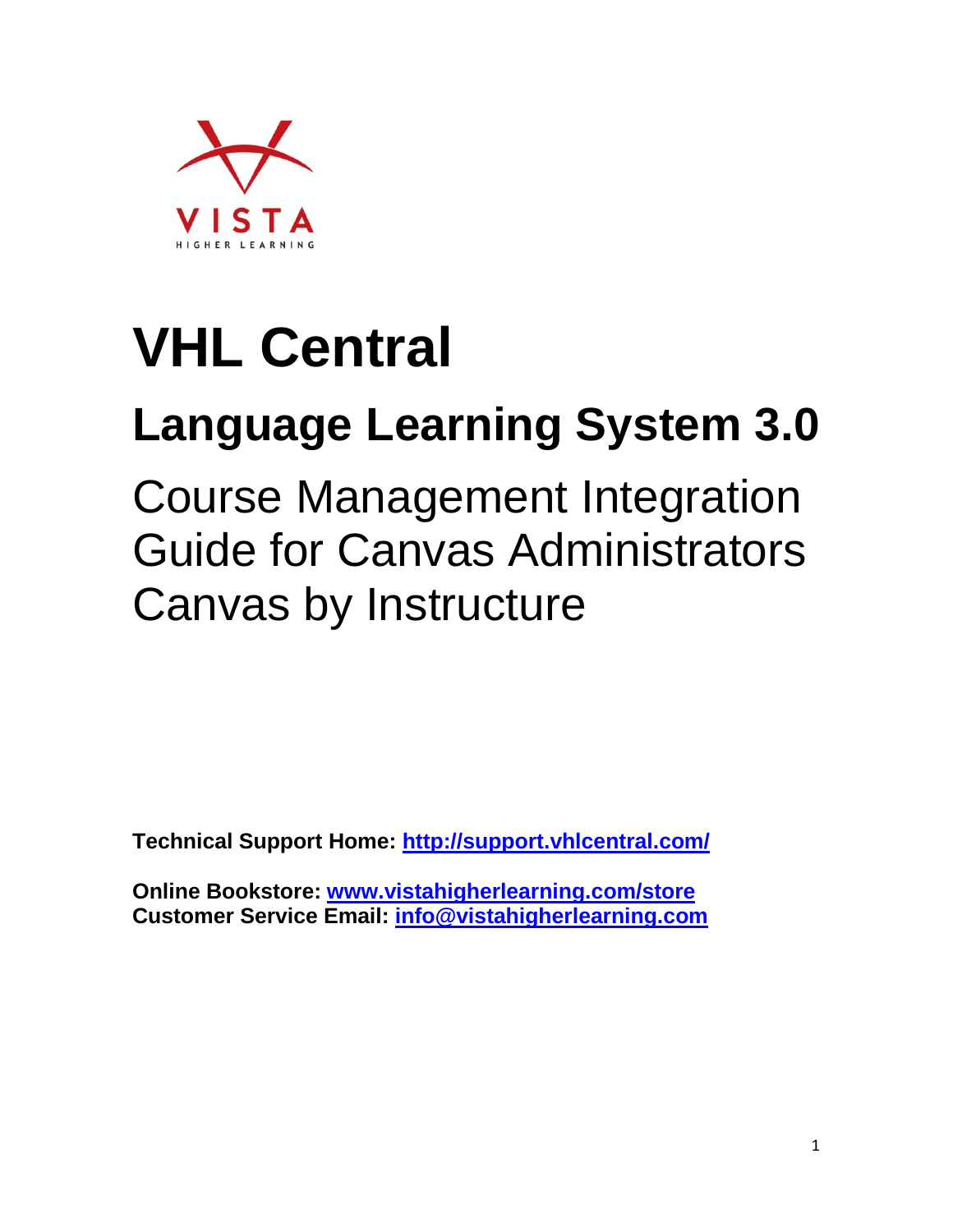

# **VHL Central**

## **Language Learning System 3.0**

Course Management Integration Guide for Canvas Administrators Canvas by Instructure

**Technical Support Home:<http://support.vhlcentral.com/>**

**Online Bookstore: [www.vistahigherlearning.com/store](http://www.vistahigherlearning.com/store)  Customer Service Email: [info@vistahigherlearning.com](mailto:info@vistahigherlearning.com)**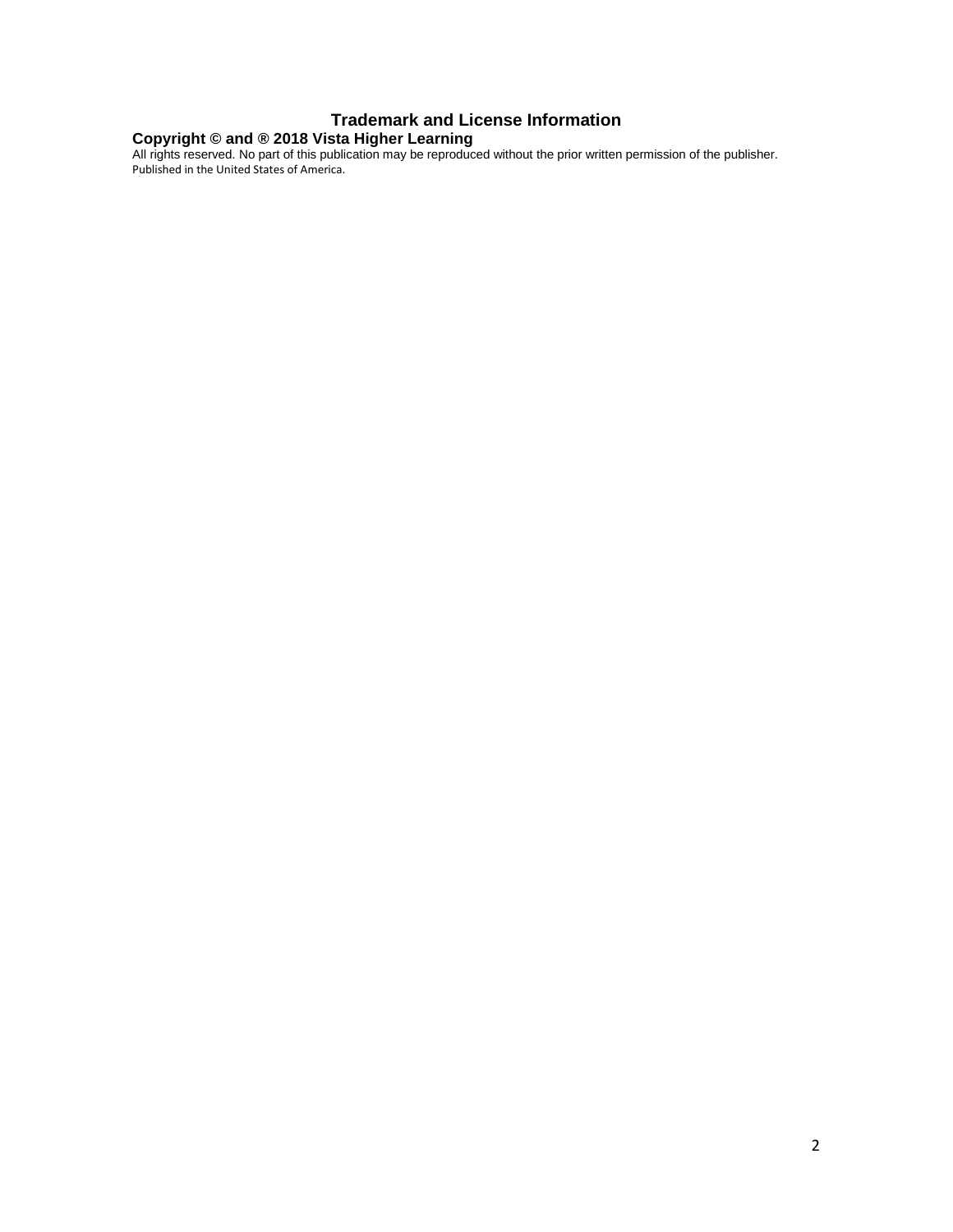#### **Trademark and License Information**

#### **Copyright © and ® 2018 Vista Higher Learning**

All rights reserved. No part of this publication may be reproduced without the prior written permission of the publisher. Published in the United States of America.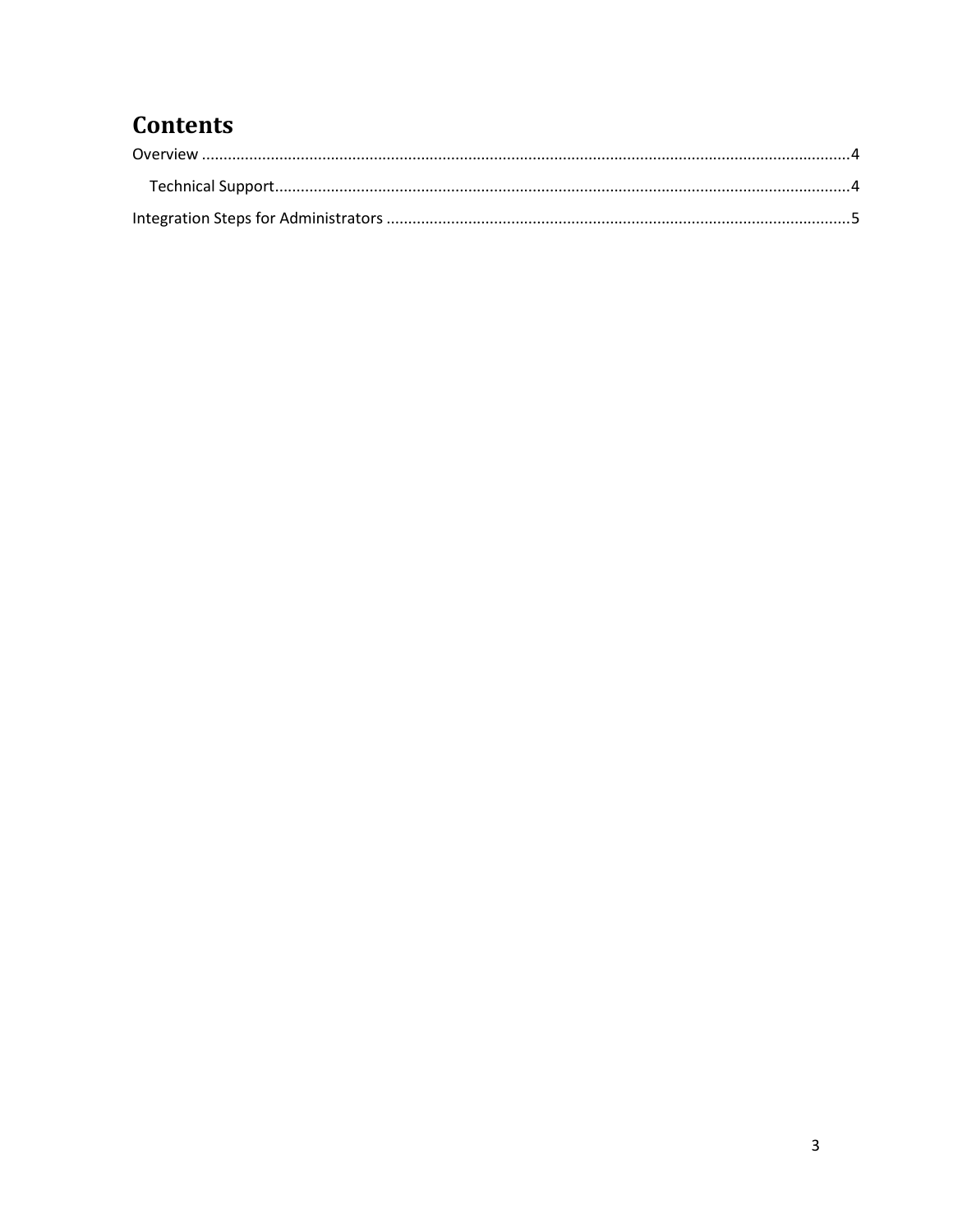## **Contents**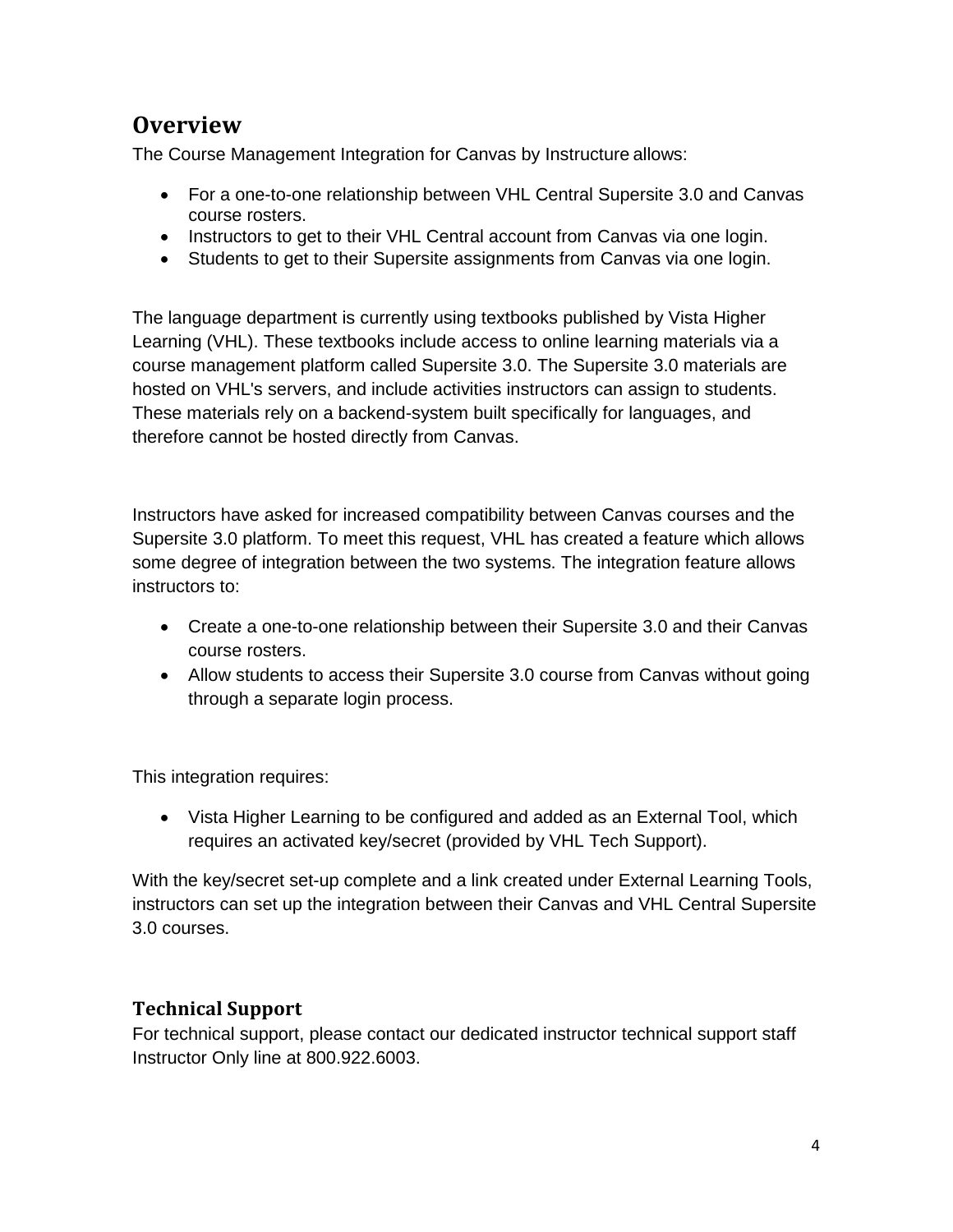## <span id="page-3-0"></span>**Overview**

The Course Management Integration for Canvas by Instructure allows:

- For a one-to-one relationship between VHL Central Supersite 3.0 and Canvas course rosters.
- Instructors to get to their VHL Central account from Canvas via one login.
- Students to get to their Supersite assignments from Canvas via one login.

The language department is currently using textbooks published by Vista Higher Learning (VHL). These textbooks include access to online learning materials via a course management platform called Supersite 3.0. The Supersite 3.0 materials are hosted on VHL's servers, and include activities instructors can assign to students. These materials rely on a backend-system built specifically for languages, and therefore cannot be hosted directly from Canvas.

Instructors have asked for increased compatibility between Canvas courses and the Supersite 3.0 platform. To meet this request, VHL has created a feature which allows some degree of integration between the two systems. The integration feature allows instructors to:

- Create a one-to-one relationship between their Supersite 3.0 and their Canvas course rosters.
- Allow students to access their Supersite 3.0 course from Canvas without going through a separate login process.

This integration requires:

• Vista Higher Learning to be configured and added as an External Tool, which requires an activated key/secret (provided by VHL Tech Support).

With the key/secret set-up complete and a link created under External Learning Tools, instructors can set up the integration between their Canvas and VHL Central Supersite 3.0 courses.

#### <span id="page-3-1"></span>**Technical Support**

<span id="page-3-2"></span>For technical support, please contact our dedicated instructor technical support staff Instructor Only line at 800.922.6003.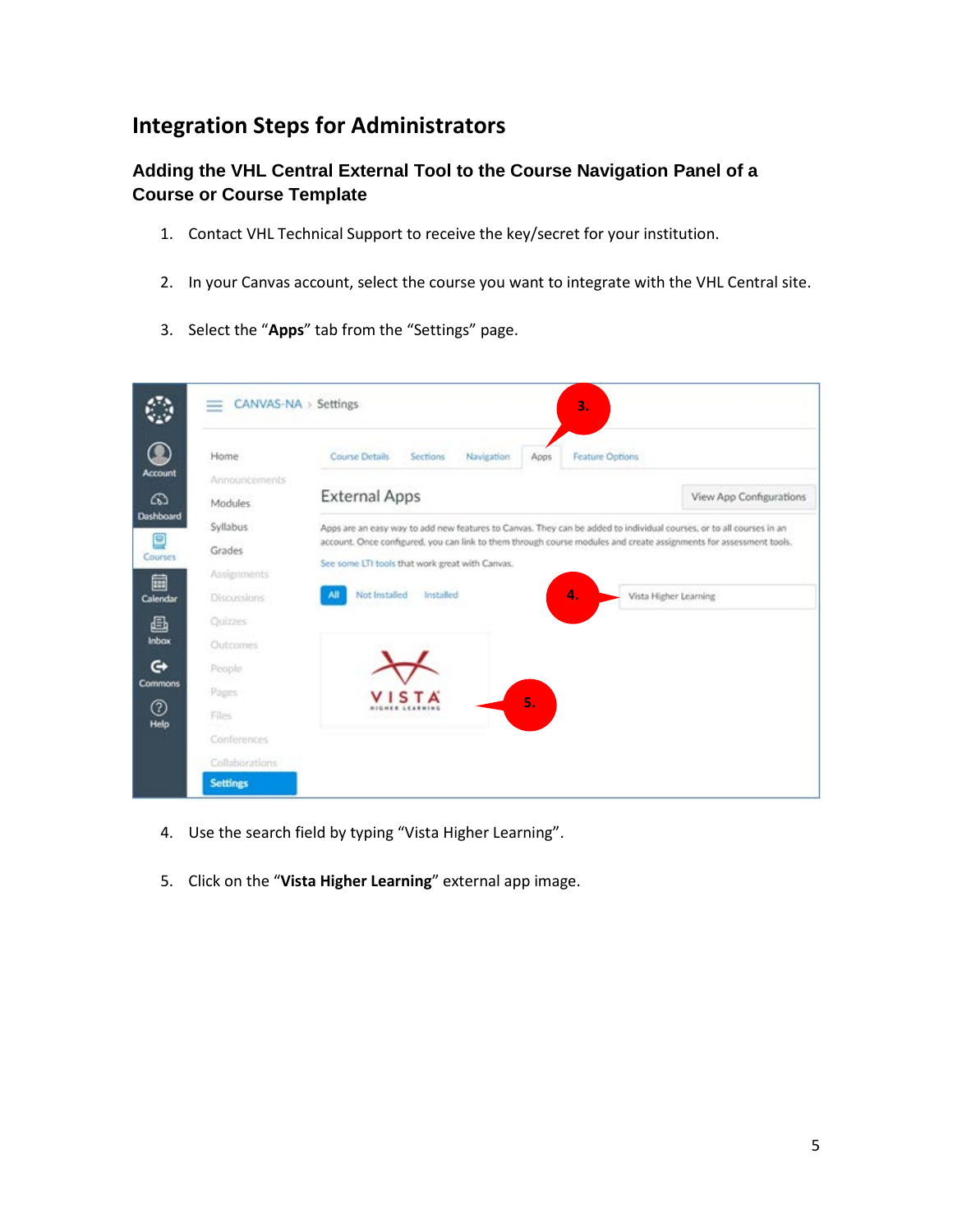### **Integration Steps for Administrators**

#### **Adding the VHL Central External Tool to the Course Navigation Panel of a Course or Course Template**

- 1. Contact VHL Technical Support to receive the key/secret for your institution.
- 2. In your Canvas account, select the course you want to integrate with the VHL Central site.
- 3. Select the "**Apps**" tab from the "Settings" page.

| Home                            | <b>Course Details</b>                           | Sections  | Navigation | Apps                      | <b>Feature Options</b> |                                                                                                                      |
|---------------------------------|-------------------------------------------------|-----------|------------|---------------------------|------------------------|----------------------------------------------------------------------------------------------------------------------|
| Announcements<br><b>Modules</b> | <b>External Apps</b>                            |           |            |                           |                        | View App Configurations                                                                                              |
| Syllabus                        |                                                 |           |            |                           |                        | Apps are an easy way to add new features to Canvas. They can be added to individual courses, or to all courses in an |
| Grades                          |                                                 |           |            |                           |                        | account. Once configured, you can link to them through course modules and create assignments for assessment tools.   |
| Assignments                     | See some LTI tools that work great with Canvas. |           |            |                           |                        |                                                                                                                      |
| Discussions                     | Not Installed<br>All                            | Installed |            |                           | 4.                     | Vista Higher Learning                                                                                                |
| Quizzes                         |                                                 |           |            |                           |                        |                                                                                                                      |
| <b>Outcomes</b>                 |                                                 |           |            |                           |                        |                                                                                                                      |
| People                          |                                                 |           |            |                           |                        |                                                                                                                      |
| Pages                           |                                                 |           |            | $\overline{\mathbf{5}}$ . |                        |                                                                                                                      |
| Files                           |                                                 |           |            |                           |                        |                                                                                                                      |
| Conferences                     |                                                 |           |            |                           |                        |                                                                                                                      |
| Collaborations                  |                                                 |           |            |                           |                        |                                                                                                                      |
| <b>Settings</b>                 |                                                 |           |            |                           |                        |                                                                                                                      |

- 4. Use the search field by typing "Vista Higher Learning".
- 5. Click on the "**Vista Higher Learning**" external app image.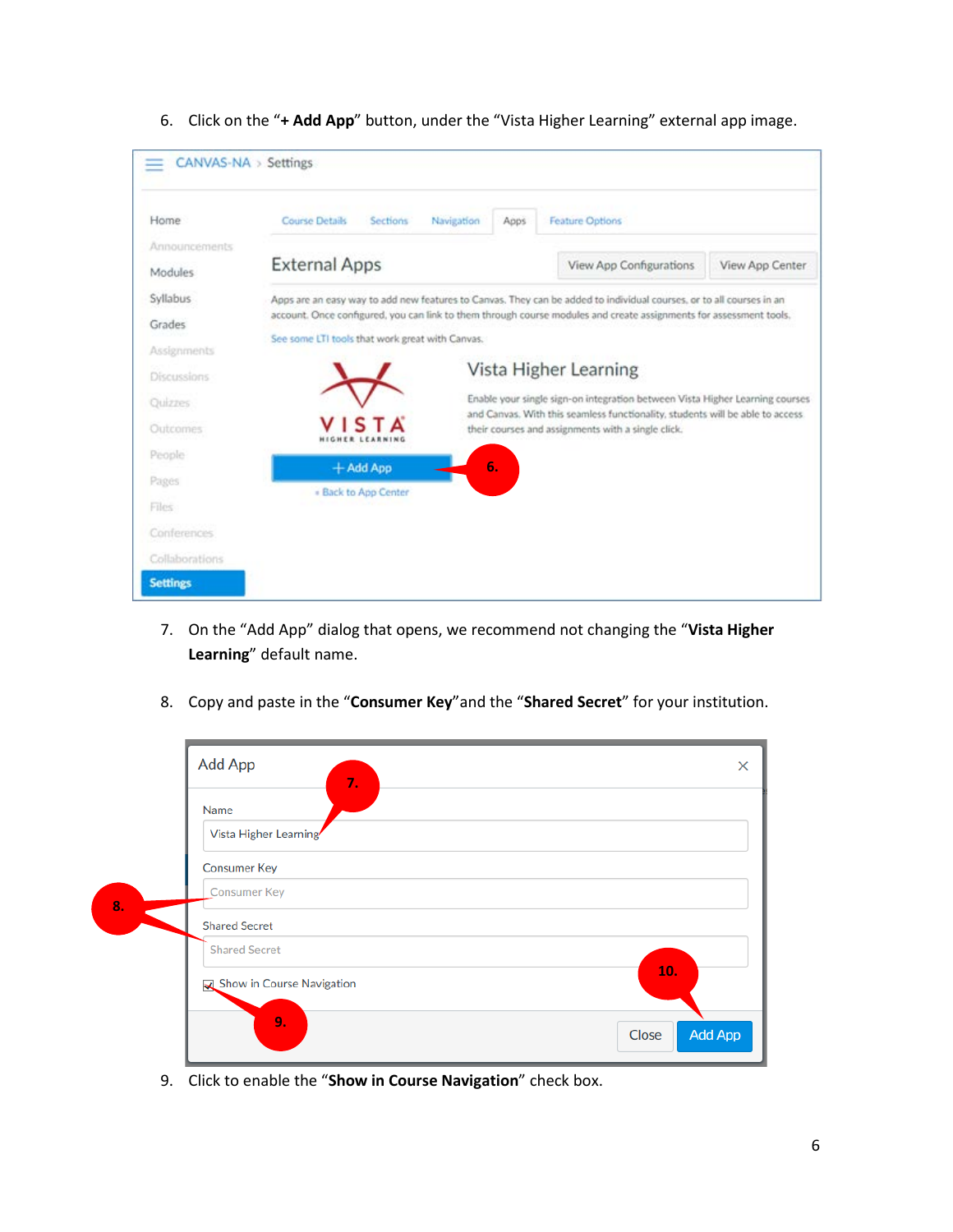| CANVAS-NA > Settings<br>$\equiv$ |                       |                 |            |      |                         |                 |
|----------------------------------|-----------------------|-----------------|------------|------|-------------------------|-----------------|
| Home                             | <b>Course Details</b> | <b>Sections</b> | Navigation | Apps | <b>Feature Options</b>  |                 |
| Announcements                    |                       |                 |            |      |                         |                 |
| Modules                          | <b>External Apps</b>  |                 |            |      | View App Configurations | View App Center |

6. Click on the "**+ Add App**" button, under the "Vista Higher Learning" external app image.

| Syllabus           |                                                 | Apps are an easy way to add new features to Canvas. They can be added to individual courses, or to all courses in an                                           |
|--------------------|-------------------------------------------------|----------------------------------------------------------------------------------------------------------------------------------------------------------------|
| Grades             |                                                 | account. Once configured, you can link to them through course modules and create assignments for assessment tools.                                             |
| Assignments        | See some LTI tools that work great with Canvas. |                                                                                                                                                                |
| <b>Discussions</b> |                                                 | Vista Higher Learning                                                                                                                                          |
| Quizzes            |                                                 | Enable your single sign-on integration between Vista Higher Learning courses<br>and Canvas. With this seamless functionality, students will be able to access. |
| Outcomes           | <b>VISTA</b>                                    | their courses and assignments with a single click.                                                                                                             |
| People             | $+$ Add App                                     | 6.                                                                                                                                                             |
| Pages              | . Back to App Center                            |                                                                                                                                                                |
| Files              |                                                 |                                                                                                                                                                |
| Conferences        |                                                 |                                                                                                                                                                |
| Collaborations     |                                                 |                                                                                                                                                                |
| <b>Settings</b>    |                                                 |                                                                                                                                                                |

- 7. On the "Add App" dialog that opens, we recommend not changing the "**Vista Higher Learning**" default name.
- 8. Copy and paste in the "**Consumer Key**"and the "**Shared Secret**" for your institution.

|    | <b>Add App</b><br>$\times$<br>7.<br>Name |
|----|------------------------------------------|
|    | Vista Higher Learning                    |
|    | <b>Consumer Key</b>                      |
| 8. | <b>Consumer Key</b>                      |
|    | <b>Shared Secret</b>                     |
|    | <b>Shared Secret</b>                     |
|    | 10.<br>Show in Course Navigation         |
|    | 9.<br><b>Add App</b><br>Close            |

9. Click to enable the "**Show in Course Navigation**" check box.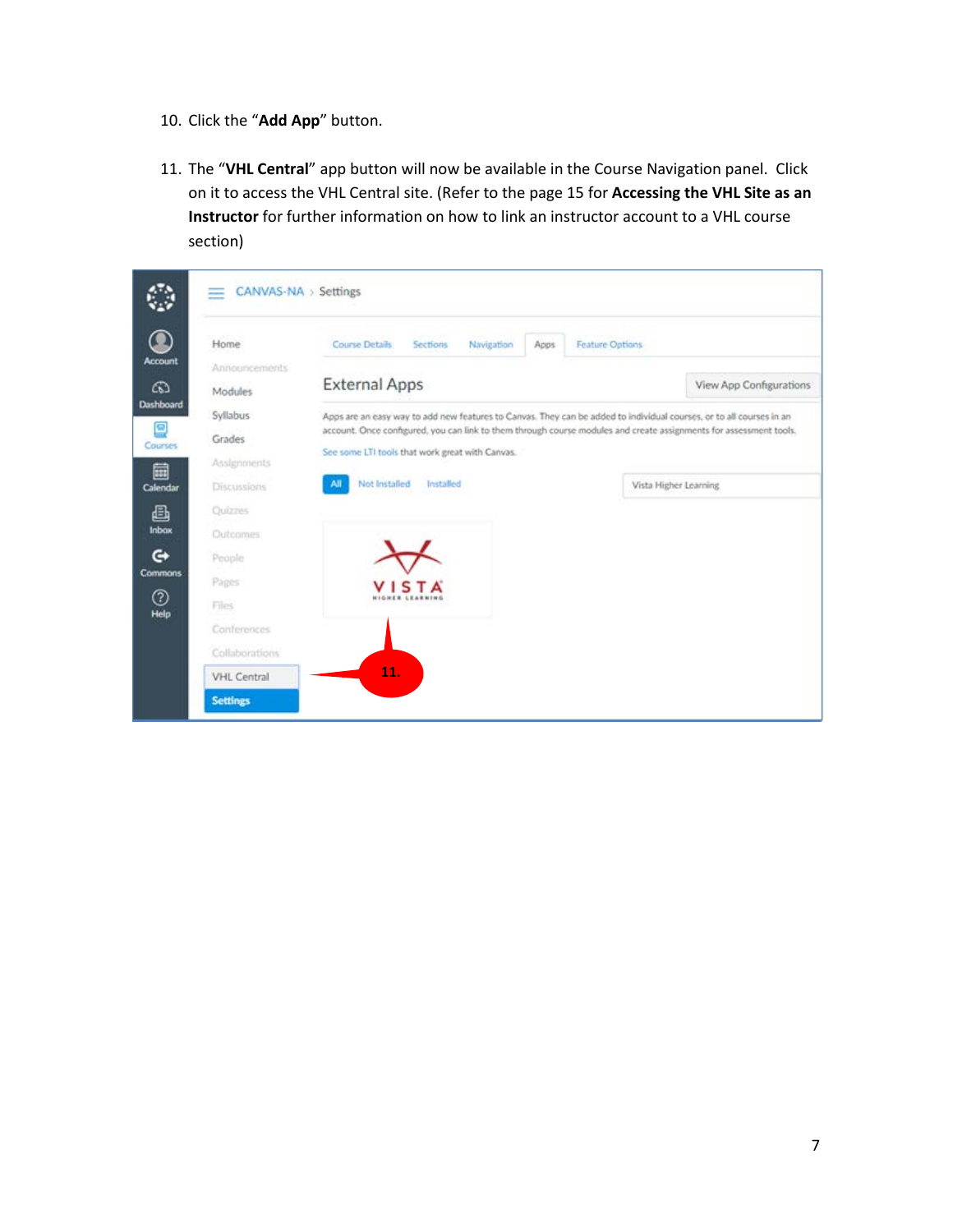- 10. Click the "**Add App**" button.
- 11. The "**VHL Central**" app button will now be available in the Course Navigation panel. Click on it to access the VHL Central site. (Refer to the page 15 for **Accessing the VHL Site as an Instructor** for further information on how to link an instructor account to a VHL course section)

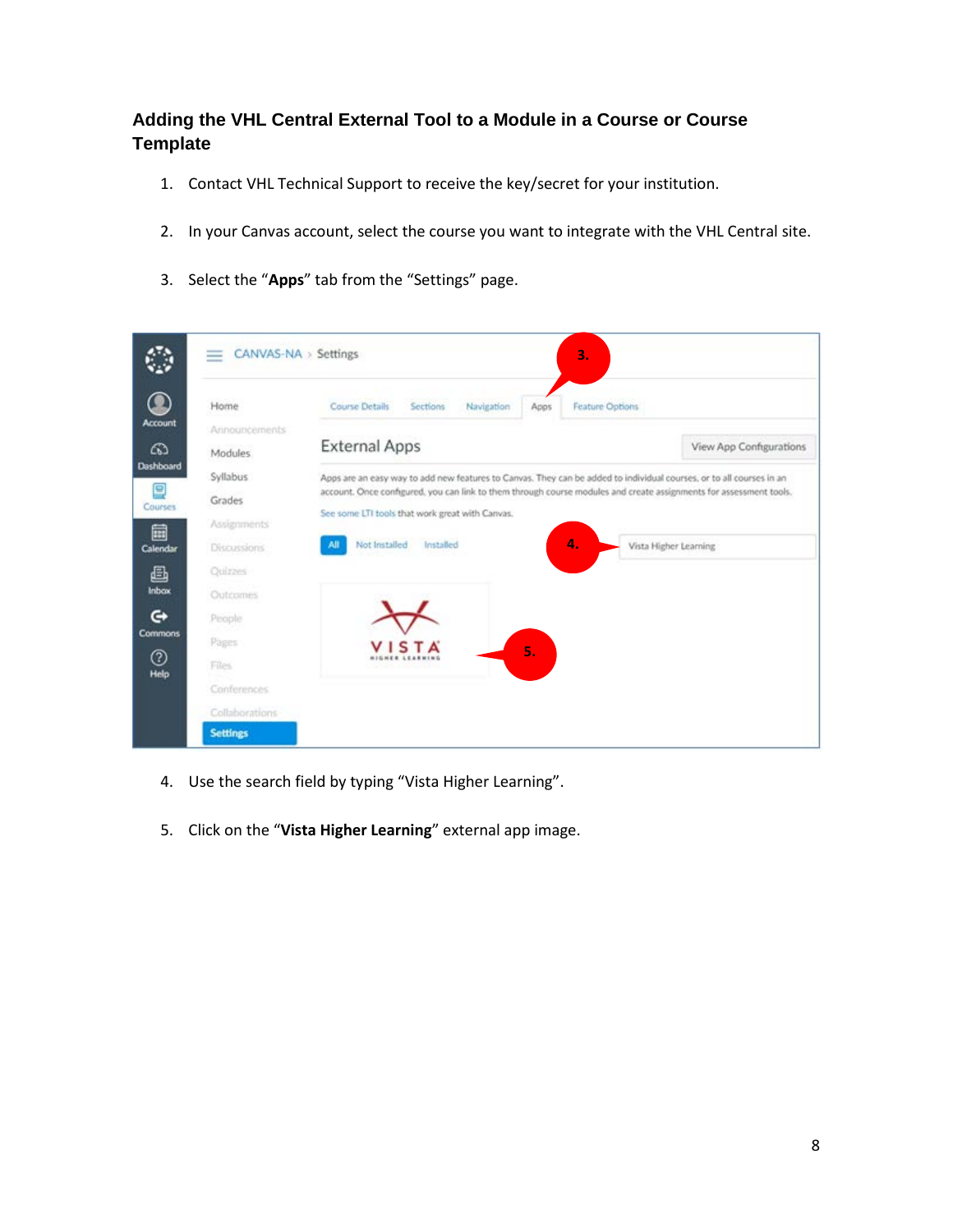#### **Adding the VHL Central External Tool to a Module in a Course or Course Template**

- 1. Contact VHL Technical Support to receive the key/secret for your institution.
- 2. In your Canvas account, select the course you want to integrate with the VHL Central site.
- 3. Select the "**Apps**" tab from the "Settings" page.



- 4. Use the search field by typing "Vista Higher Learning".
- 5. Click on the "**Vista Higher Learning**" external app image.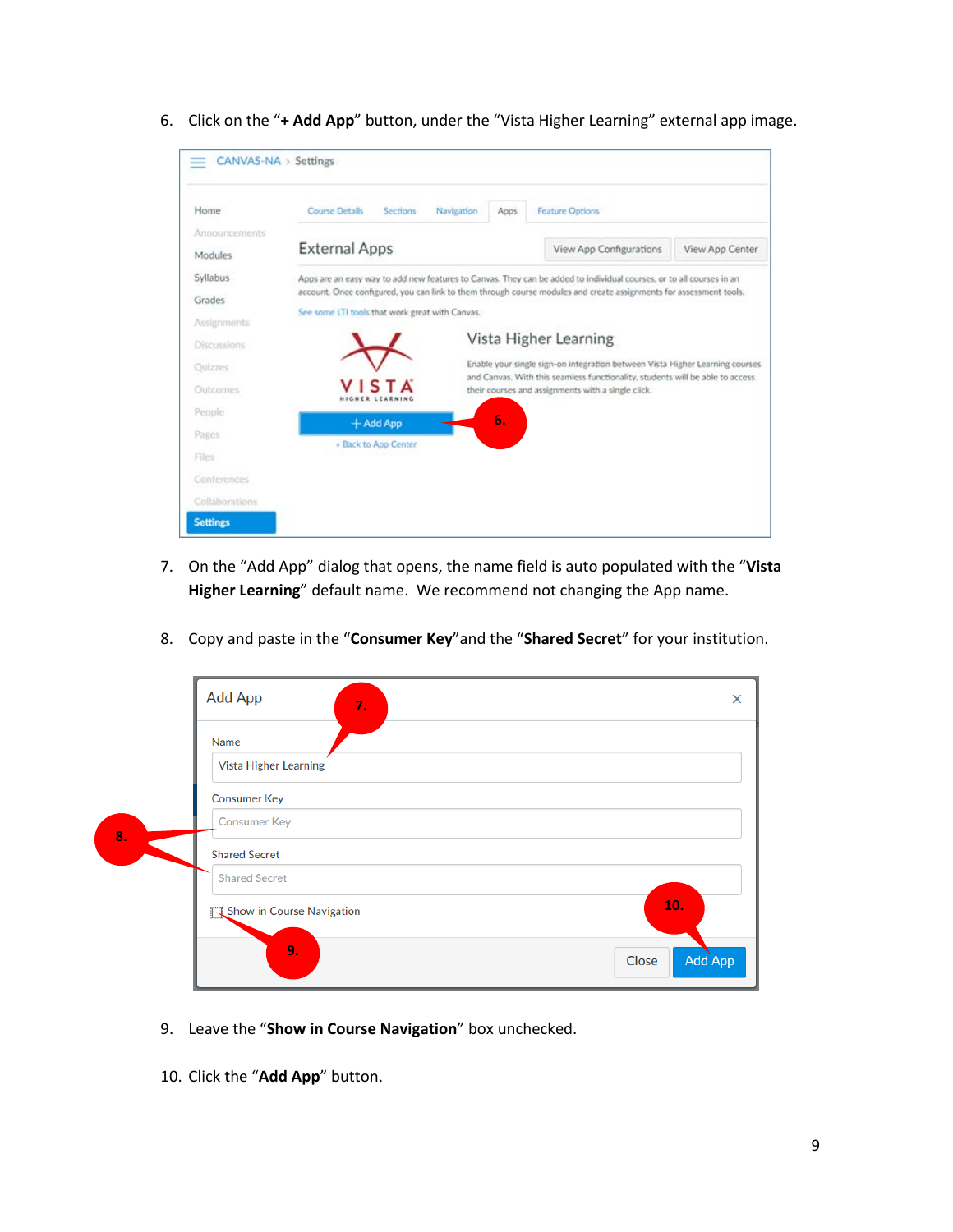6. Click on the "**+ Add App**" button, under the "Vista Higher Learning" external app image.



- 7. On the "Add App" dialog that opens, the name field is auto populated with the "**Vista Higher Learning**" default name. We recommend not changing the App name.
- 8. Copy and paste in the "**Consumer Key**"and the "**Shared Secret**" for your institution.

|    | Add App<br>7.                  | $\times$         |
|----|--------------------------------|------------------|
|    | Name                           |                  |
|    | Vista Higher Learning          |                  |
|    | <b>Consumer Key</b>            |                  |
| 8. | <b>Consumer Key</b>            |                  |
|    | <b>Shared Secret</b>           |                  |
|    | <b>Shared Secret</b>           |                  |
|    | Show in Course Navigation<br>J | 10.              |
|    | 9.                             | Add App<br>Close |

- 9. Leave the "**Show in Course Navigation**" box unchecked.
- 10. Click the "**Add App**" button.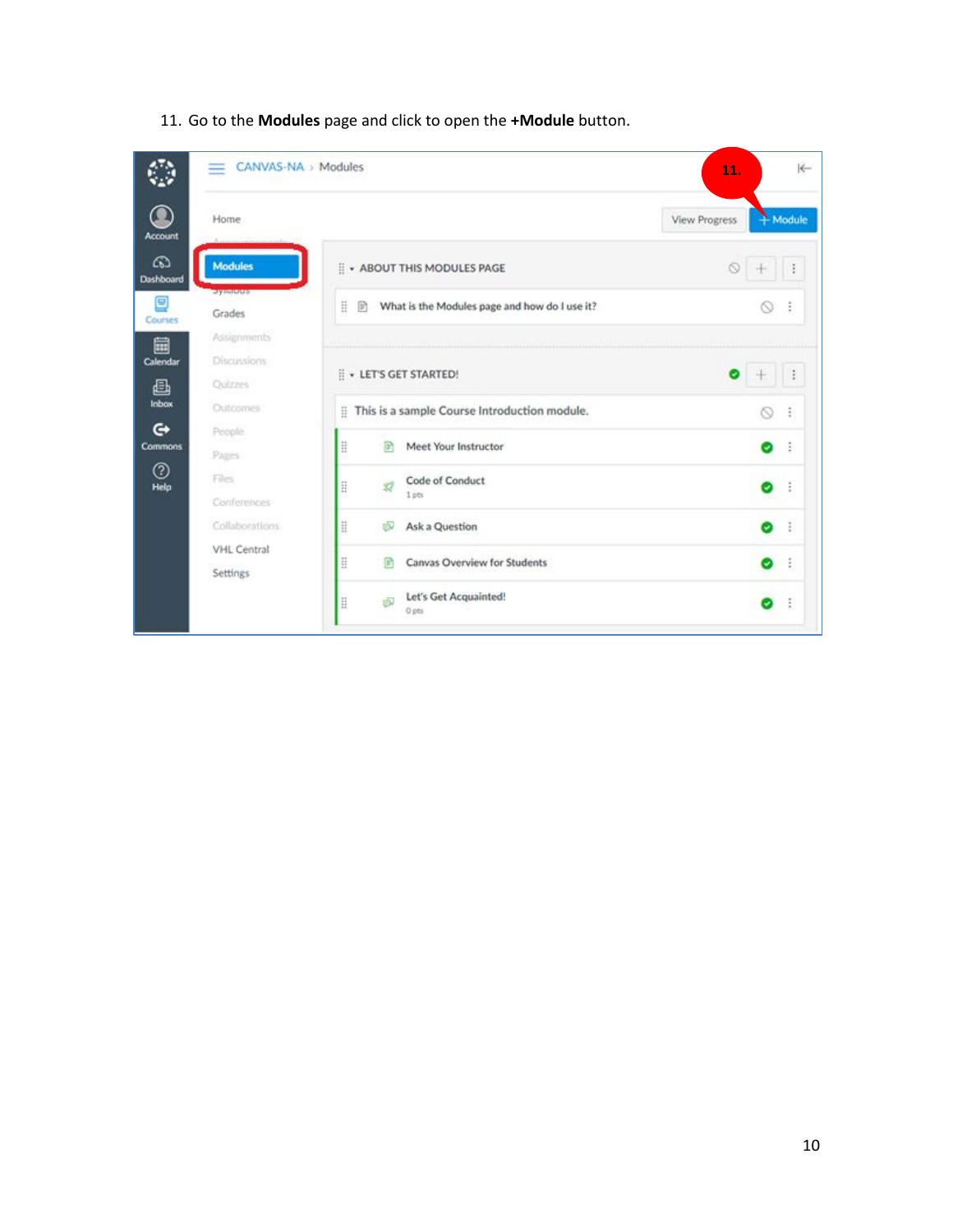|                | CANVAS-NA > Modules<br>≕ |                                                         | 11.           | $\leftarrow$       |
|----------------|--------------------------|---------------------------------------------------------|---------------|--------------------|
| Account        | Home                     |                                                         | View Progress | $M_{\text{o}dule}$ |
| ෬<br>Dashboard | <b>Modules</b>           | <b>E</b> . ABOUT THIS MODULES PAGE                      | Ō             | ÷                  |
| Ξ<br>Courses   | <b>SAMMORE</b><br>Grades | Ħ<br>What is the Modules page and how do I use it?<br>R |               | ∾<br>÷             |
| 圇              | Assignments              |                                                         |               |                    |
| Calendar       | Discussions.             |                                                         |               |                    |
| ₿              | Quizzes                  | <b>E</b> . LET'S GET STARTED!                           |               |                    |
| Inbax          | Outcomes.                | This is a sample Course Introduction module.            |               | ⊚<br>ŝ             |
| G              | People                   | 励                                                       |               |                    |
| <b>Commons</b> | Pages.                   | H<br>Meet Your Instructor                               |               | ÷<br>o             |
| ℗<br>Help      | Files                    | Code of Conduct<br>H<br>焽                               |               | ÷<br>Θ             |
|                | Conferences              | 1 pts                                                   |               |                    |
|                | Collaborations           | H<br>Ask a Question<br>卤                                |               | ÷<br>Θ.            |
|                | VHL Central<br>Settings  | H<br>Canvas Overview for Students<br>B                  |               | ÷<br>Θ             |
|                |                          | Let's Get Acquainted!<br>H<br>卤<br><b>Q</b> pts         |               | ÷<br>э.            |

#### 11. Go to the **Modules** page and click to open the **+Module** button.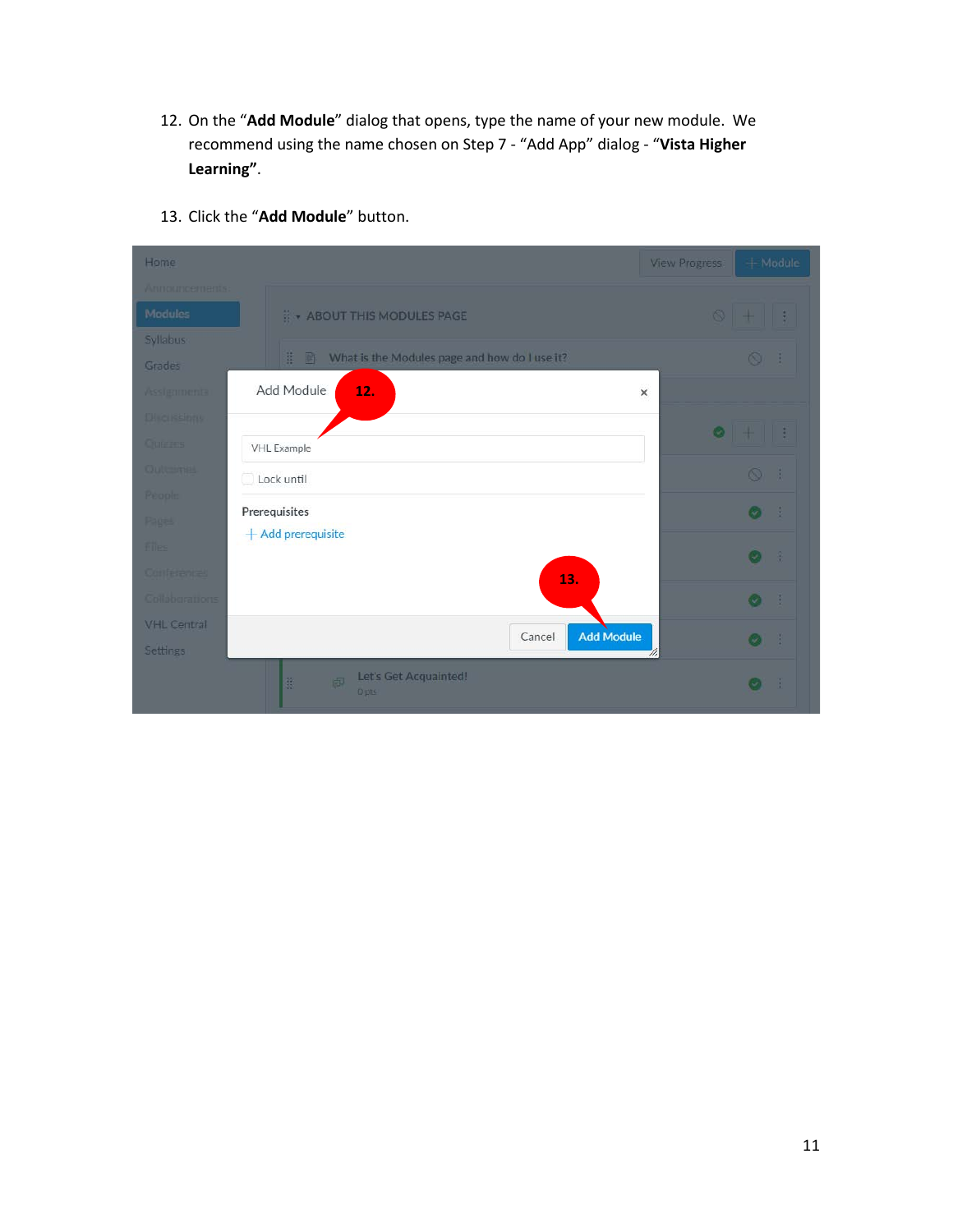12. On the "**Add Module**" dialog that opens, type the name of your new module. We recommend using the name chosen on Step 7 - "Add App" dialog - "**Vista Higher Learning"**.

| Home               |                                                         | <b>View Progress</b> | + Module            |    |
|--------------------|---------------------------------------------------------|----------------------|---------------------|----|
| Announcements:     |                                                         |                      |                     |    |
| Modules            | :: + ABOUT THIS MODULES PAGE                            |                      | $\circ$ $+$ $\circ$ |    |
| Syllabus           |                                                         |                      |                     |    |
| Grades             | What is the Modules page and how do I use it?<br>旺<br>區 |                      | $\circ$             |    |
| Assignments        | Add Module<br>12.                                       | $\times$             |                     |    |
| <b>Discussions</b> |                                                         |                      |                     |    |
| <b>Cutrres</b>     | <b>VHL Example</b>                                      | $\bullet$            | 一带 一套               |    |
| Quitcomes          | Lock until                                              |                      | $\circledcirc$ :    |    |
| <b>Regole</b>      |                                                         |                      |                     |    |
| Pages              | Prerequisites<br>$+$ Add prerequisite                   |                      | $\bullet$ :         |    |
| <b>filles</b>      |                                                         |                      | 一定<br>$\odot$       |    |
| Culturanial        | 13.                                                     |                      |                     |    |
| Collaborations     |                                                         |                      | $\bullet$ :         |    |
| <b>VHL Central</b> | <b>Add Module</b><br>Cancel                             |                      |                     |    |
| Settings           |                                                         | W,                   | $\bullet$           | -3 |
|                    | Let's Get Acquainted!<br>蓝<br>邮<br>Opts                 |                      | $\odot$<br>- 1      |    |

13. Click the "**Add Module**" button.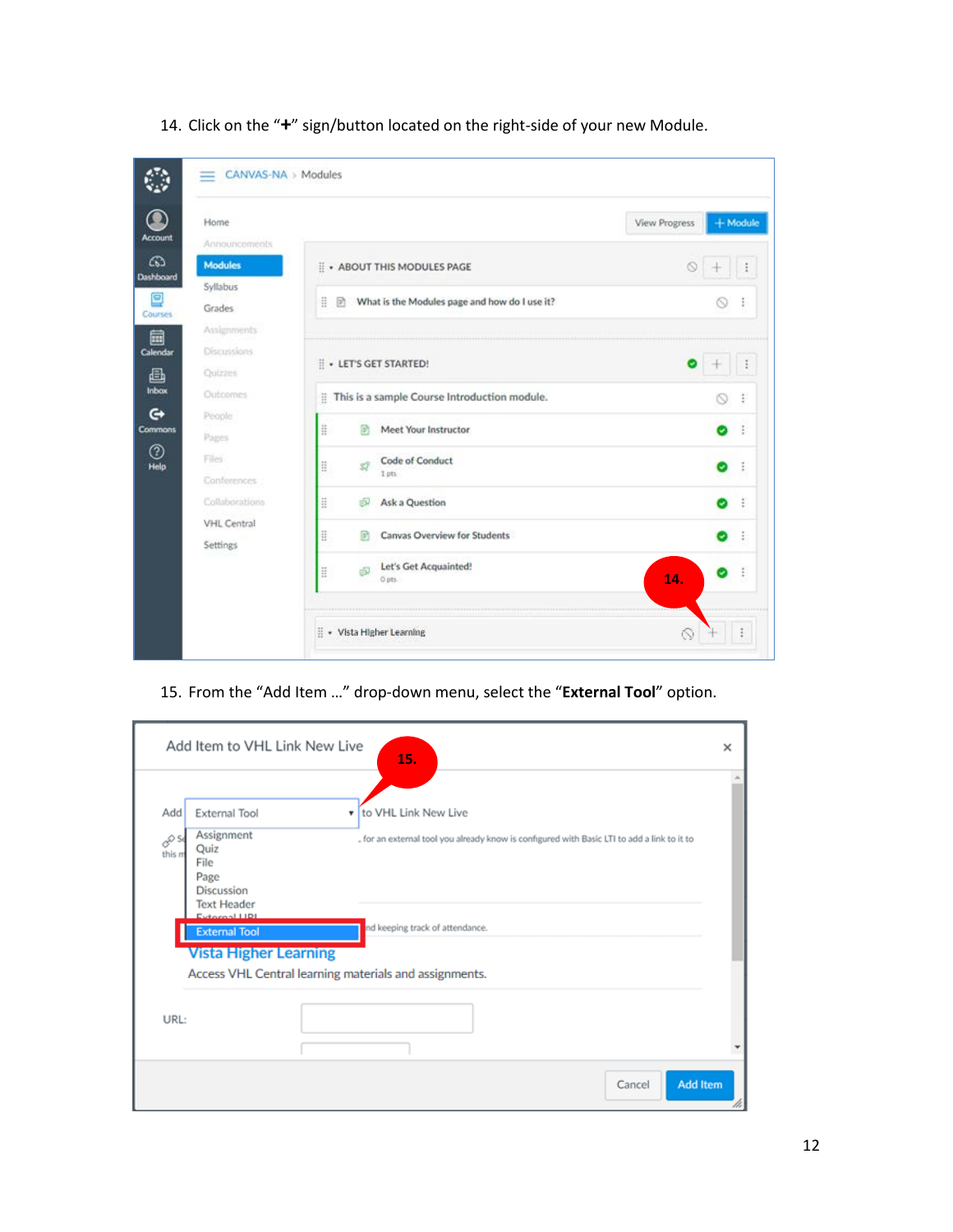| Home<br>Announcements                                    |                                                         | View Progress | $+$ Module |
|----------------------------------------------------------|---------------------------------------------------------|---------------|------------|
| <b>Modules</b><br>Dashboard                              | : + ABOUT THIS MODULES PAGE                             |               |            |
| Syllabus<br>Grades                                       | ë<br>What is the Modules page and how do I use it?<br>励 |               | 0          |
| Assignments<br><b>Discussions</b><br>Calendar<br>Ouizzes | : LET'S GET STARTED!                                    |               |            |
| Outcomes                                                 | This is a sample Course Introduction module.            |               | 0          |
| People<br><b>Commons</b><br>Pages                        | ä<br>Meet Your Instructor<br>卧                          |               | Θ          |
| Files.<br>Conferences                                    | Code of Conduct<br>ä<br>1 pts                           |               | U.         |
| Collaborations                                           | 韮<br>Ask a Question<br>ல்                               |               | o          |
| VHL Central<br>Settings                                  | ä<br>Canvas Overview for Students<br>m                  |               | Ψ          |
|                                                          | Let's Get Acquainted!<br>Ħ<br>咸<br>O pts.               | 14.           |            |

14. Click on the "**+**" sign/button located on the right-side of your new Module.

#### 15. From the "Add Item …" drop-down menu, select the "**External Tool**" option.

|                |                                                                               | 15.                                                                                         |  |
|----------------|-------------------------------------------------------------------------------|---------------------------------------------------------------------------------------------|--|
| Add            | External Tool                                                                 | to VHL Link New Live<br>۳.                                                                  |  |
| 80 G<br>this m | Assignment<br>Quiz<br>File<br>Page<br><b>Discussion</b><br><b>Text Header</b> | . for an external tool you already know is configured with Basic LTI to add a link to it to |  |
|                | Evtornal LIDI<br><b>External Tool</b><br><b>Vista Higher Learning</b>         | nd keeping track of attendance.                                                             |  |
|                |                                                                               | Access VHL Central learning materials and assignments.                                      |  |
| URL:           |                                                                               |                                                                                             |  |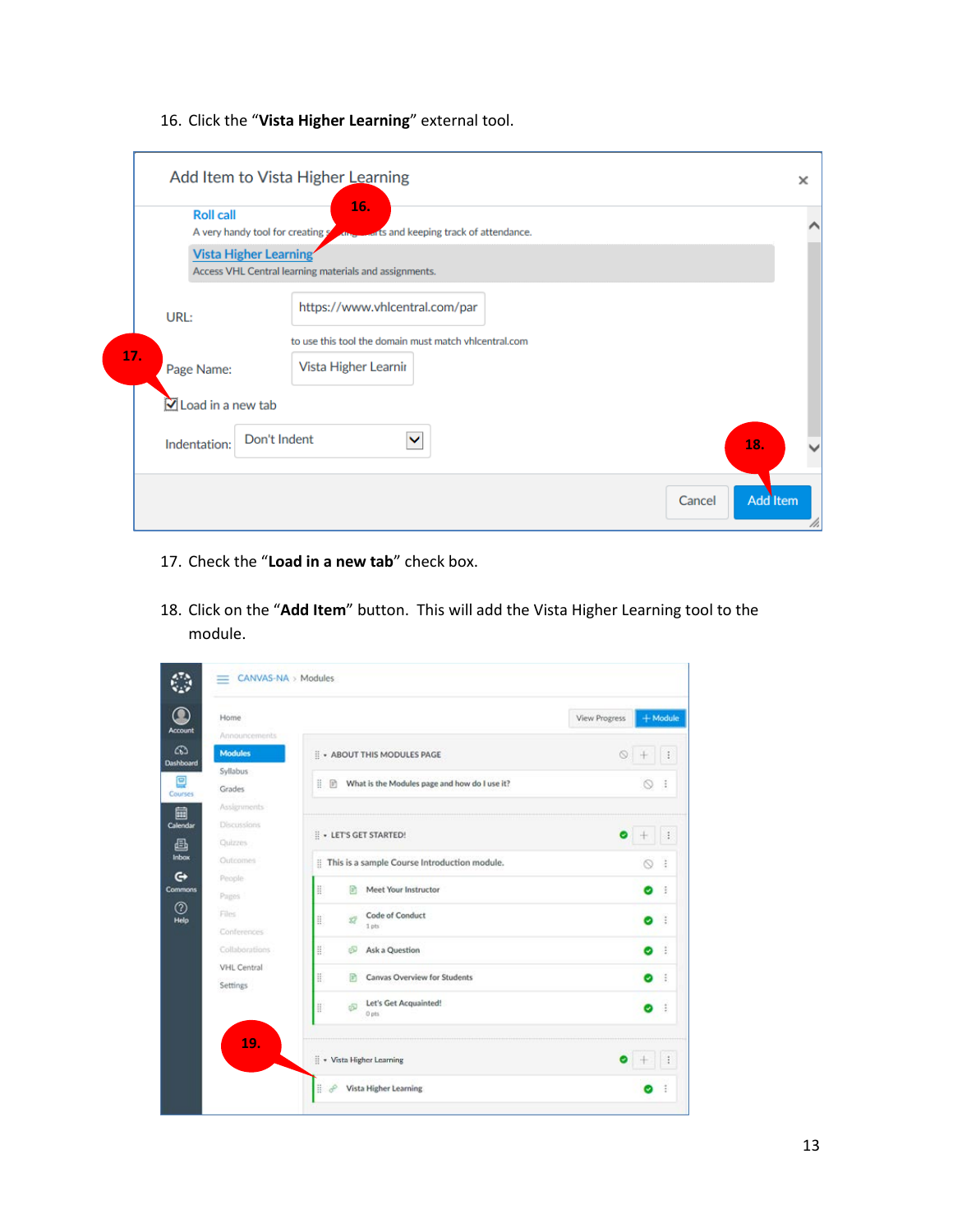16. Click the "**Vista Higher Learning**" external tool.

| <b>Roll call</b><br>A very handy tool for creating s | 16.<br><b>AND LAT'S and keeping track of attendance.</b> |     |
|------------------------------------------------------|----------------------------------------------------------|-----|
| <b>Vista Higher Learning</b>                         | Access VHL Central learning materials and assignments.   |     |
| URL:                                                 | https://www.vhlcentral.com/par                           |     |
|                                                      | to use this tool the domain must match vhlcentral.com    |     |
| Page Name:                                           | Vista Higher Learnir                                     |     |
| $\boxtimes$ Load in a new tab                        |                                                          |     |
| Indentation:                                         | Don't Indent<br>$\checkmark$                             | 18. |

- 17. Check the "**Load in a new tab**" check box.
- 18. Click on the "**Add Item**" button. This will add the Vista Higher Learning tool to the module.

| Home                                                                        |                                                                                        | <b>View Progress</b> | $+$ Module |                       |
|-----------------------------------------------------------------------------|----------------------------------------------------------------------------------------|----------------------|------------|-----------------------|
| Announcements<br><b>Modules</b><br>Syllabus<br>Grades<br><b>Assignments</b> | : : ABOUT THIS MODULES PAGE<br>排<br>What is the Modules page and how do I use it?<br>商 | O.                   | 60         | ÷                     |
| Discussions<br>Quizzes<br>Outromes                                          | : LET'S GET STARTED!<br>:: This is a sample Course Introduction module.                |                      |            |                       |
| People<br>Pages                                                             | ä<br>Meet Your Instructor<br>R                                                         |                      | ø          | - 3                   |
| Files<br>Conferences<br>Collaborations                                      | Code of Conduct<br>Ĥ.<br>Ď<br>1 pts<br>ä<br>க<br>Ask a Question                        |                      | o<br>o     | $\ddot{z}$<br>$\cdot$ |
| <b>VHL Central</b><br>Settings                                              | H<br>Canvas Overview for Students<br>厨                                                 |                      | o          | 佳                     |
|                                                                             | Let's Get Acquainted!<br>H.<br>க<br>0 pts                                              |                      | o          | 3                     |
| 19.                                                                         | : vista Higher Learning                                                                |                      |            |                       |
|                                                                             | B<br>op<br>Vista Higher Learning                                                       |                      |            |                       |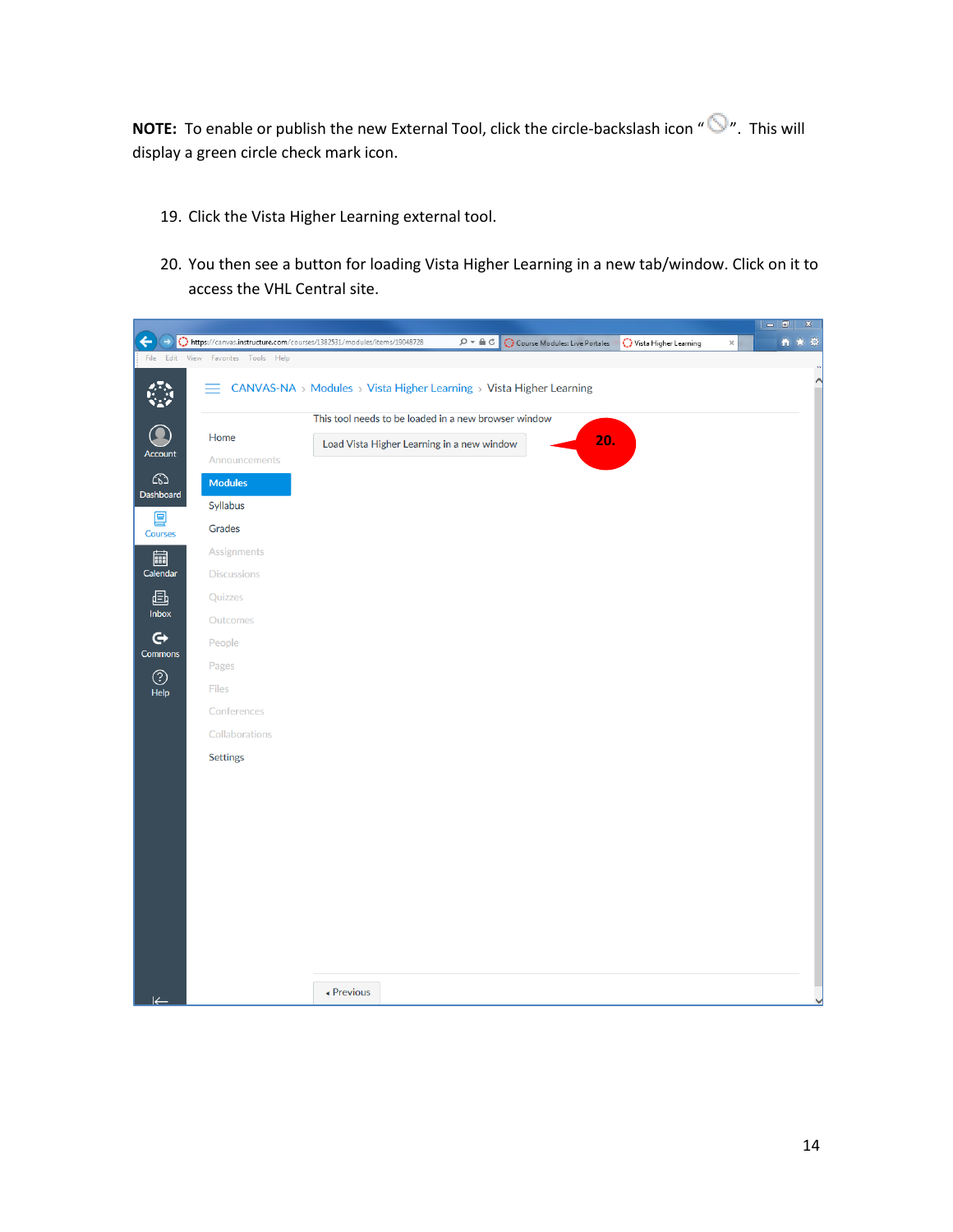**NOTE:** To enable or publish the new External Tool, click the circle-backslash icon " $\bigcirc$ ". This will display a green circle check mark icon.

- 19. Click the Vista Higher Learning external tool.
- 20. You then see a button for loading Vista Higher Learning in a new tab/window. Click on it to access the VHL Central site.

|                              |                              |                                                                                                                                                                  | $\mathbbm{Z}$<br>$-10$ |
|------------------------------|------------------------------|------------------------------------------------------------------------------------------------------------------------------------------------------------------|------------------------|
|                              |                              | https://canvas.instructure.com/courses/1382531/modules/items/19048728<br>$D - \triangle$ d<br>Course Modules: Live Portales<br>Vista Higher Learning<br>$\times$ | $\bullet$<br>$\alpha$  |
| File Edit                    | View Favorites<br>Tools Help |                                                                                                                                                                  |                        |
|                              | $=$                          | CANVAS-NA > Modules > Vista Higher Learning > Vista Higher Learning                                                                                              | $\sim$                 |
|                              |                              | This tool needs to be loaded in a new browser window                                                                                                             |                        |
|                              | Home                         | 20.<br>Load Vista Higher Learning in a new window                                                                                                                |                        |
| Account                      | Announcements                |                                                                                                                                                                  |                        |
| ෬<br>Dashboard               | <b>Modules</b>               |                                                                                                                                                                  |                        |
| ₽                            | Syllabus                     |                                                                                                                                                                  |                        |
| Courses                      | Grades                       |                                                                                                                                                                  |                        |
| 圇<br>Calendar                | Assignments                  |                                                                                                                                                                  |                        |
|                              | <b>Discussions</b>           |                                                                                                                                                                  |                        |
| 画                            | Quizzes                      |                                                                                                                                                                  |                        |
| Inbox                        | Outcomes                     |                                                                                                                                                                  |                        |
| $\mathbf{\Theta}$<br>Commons | People                       |                                                                                                                                                                  |                        |
| $\odot$                      | Pages                        |                                                                                                                                                                  |                        |
| Help                         | Files                        |                                                                                                                                                                  |                        |
|                              | Conferences                  |                                                                                                                                                                  |                        |
|                              | Collaborations               |                                                                                                                                                                  |                        |
|                              | <b>Settings</b>              |                                                                                                                                                                  |                        |
|                              |                              |                                                                                                                                                                  |                        |
|                              |                              |                                                                                                                                                                  |                        |
|                              |                              |                                                                                                                                                                  |                        |
|                              |                              |                                                                                                                                                                  |                        |
|                              |                              |                                                                                                                                                                  |                        |
|                              |                              |                                                                                                                                                                  |                        |
|                              |                              |                                                                                                                                                                  |                        |
|                              |                              |                                                                                                                                                                  |                        |
|                              |                              |                                                                                                                                                                  |                        |
|                              |                              |                                                                                                                                                                  |                        |
|                              |                              | ▲ Previous                                                                                                                                                       |                        |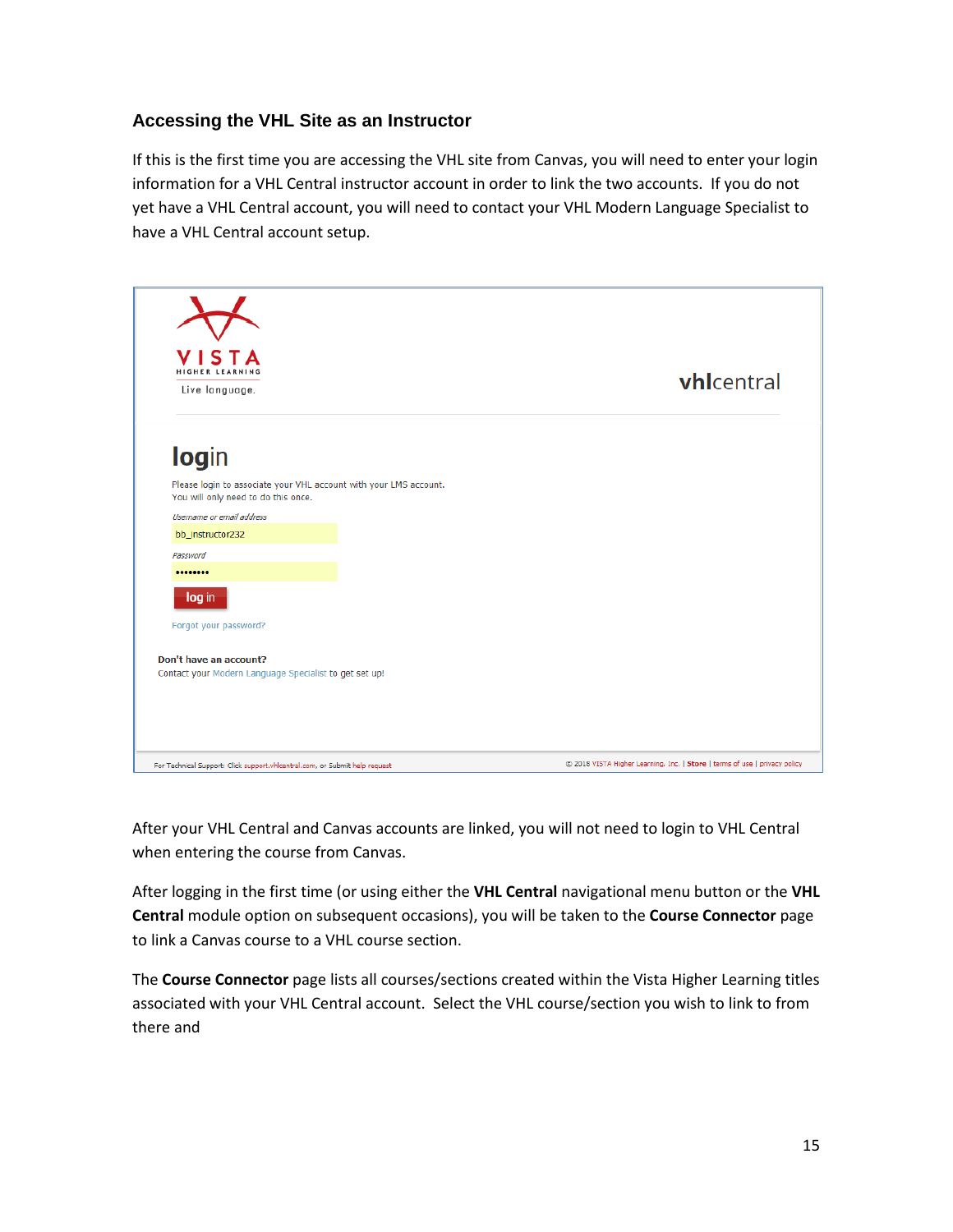#### **Accessing the VHL Site as an Instructor**

If this is the first time you are accessing the VHL site from Canvas, you will need to enter your login information for a VHL Central instructor account in order to link the two accounts. If you do not yet have a VHL Central account, you will need to contact your VHL Modern Language Specialist to have a VHL Central account setup.



After your VHL Central and Canvas accounts are linked, you will not need to login to VHL Central when entering the course from Canvas.

After logging in the first time (or using either the **VHL Central** navigational menu button or the **VHL Central** module option on subsequent occasions), you will be taken to the **Course Connector** page to link a Canvas course to a VHL course section.

The **Course Connector** page lists all courses/sections created within the Vista Higher Learning titles associated with your VHL Central account. Select the VHL course/section you wish to link to from there and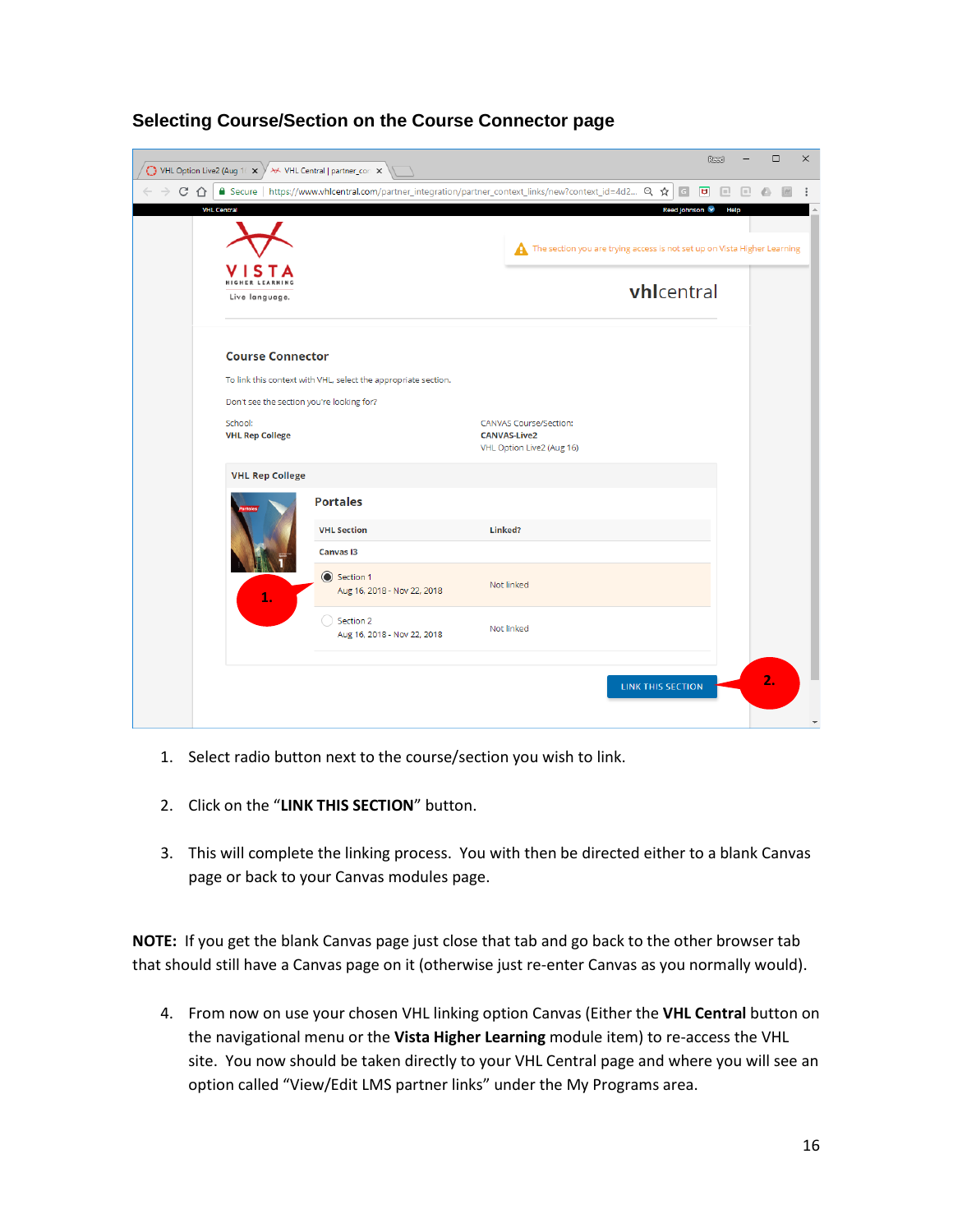| VHL Option Live2 (Aug 16 X |                                           | V X VHL Central   partner_con X                                                                        |                                                                                                                |                   | Read | $\Box$ | ×                       |
|----------------------------|-------------------------------------------|--------------------------------------------------------------------------------------------------------|----------------------------------------------------------------------------------------------------------------|-------------------|------|--------|-------------------------|
| C<br>$\bigcap$             |                                           | A Secure   https://www.vhlcentral.com/partner_integration/partner_context_links/new?context_id=4d2 Q ☆ |                                                                                                                | G                 |      |        |                         |
| <b>VHL Central</b>         |                                           |                                                                                                        | Reed Johnson<br>Help<br>The section you are trying access is not set up on Vista Higher Learning<br>vhicentral |                   |      |        |                         |
|                            | Live language.                            |                                                                                                        |                                                                                                                |                   |      |        |                         |
|                            | <b>Course Connector</b>                   | To link this context with VHL, select the appropriate section.                                         |                                                                                                                |                   |      |        |                         |
|                            | Don't see the section you're looking for? |                                                                                                        |                                                                                                                |                   |      |        |                         |
|                            | School:<br><b>VHL Rep College</b>         |                                                                                                        | <b>CANVAS Course/Section:</b><br><b>CANVAS-Live2</b><br>VHL Option Live2 (Aug 16)                              |                   |      |        |                         |
|                            | <b>VHL Rep College</b>                    |                                                                                                        |                                                                                                                |                   |      |        |                         |
|                            |                                           | <b>Portales</b>                                                                                        |                                                                                                                |                   |      |        |                         |
|                            |                                           | <b>VHL Section</b>                                                                                     | Linked?                                                                                                        |                   |      |        |                         |
|                            |                                           | <b>Canvas I3</b>                                                                                       |                                                                                                                |                   |      |        |                         |
|                            | 1.                                        | Section 1<br>Aug 16, 2018 - Nov 22, 2018                                                               | Not linked                                                                                                     |                   |      |        |                         |
|                            |                                           | Section 2<br>Aug 16, 2018 - Nov 22, 2018                                                               | Not linked                                                                                                     |                   |      |        |                         |
|                            |                                           |                                                                                                        |                                                                                                                | LINK THIS SECTION |      | 2.     | $\overline{\mathbf{v}}$ |

#### **Selecting Course/Section on the Course Connector page**

- 1. Select radio button next to the course/section you wish to link.
- 2. Click on the "**LINK THIS SECTION**" button.
- 3. This will complete the linking process. You with then be directed either to a blank Canvas page or back to your Canvas modules page.

**NOTE:** If you get the blank Canvas page just close that tab and go back to the other browser tab that should still have a Canvas page on it (otherwise just re-enter Canvas as you normally would).

4. From now on use your chosen VHL linking option Canvas (Either the **VHL Central** button on the navigational menu or the **Vista Higher Learning** module item) to re-access the VHL site. You now should be taken directly to your VHL Central page and where you will see an option called "View/Edit LMS partner links" under the My Programs area.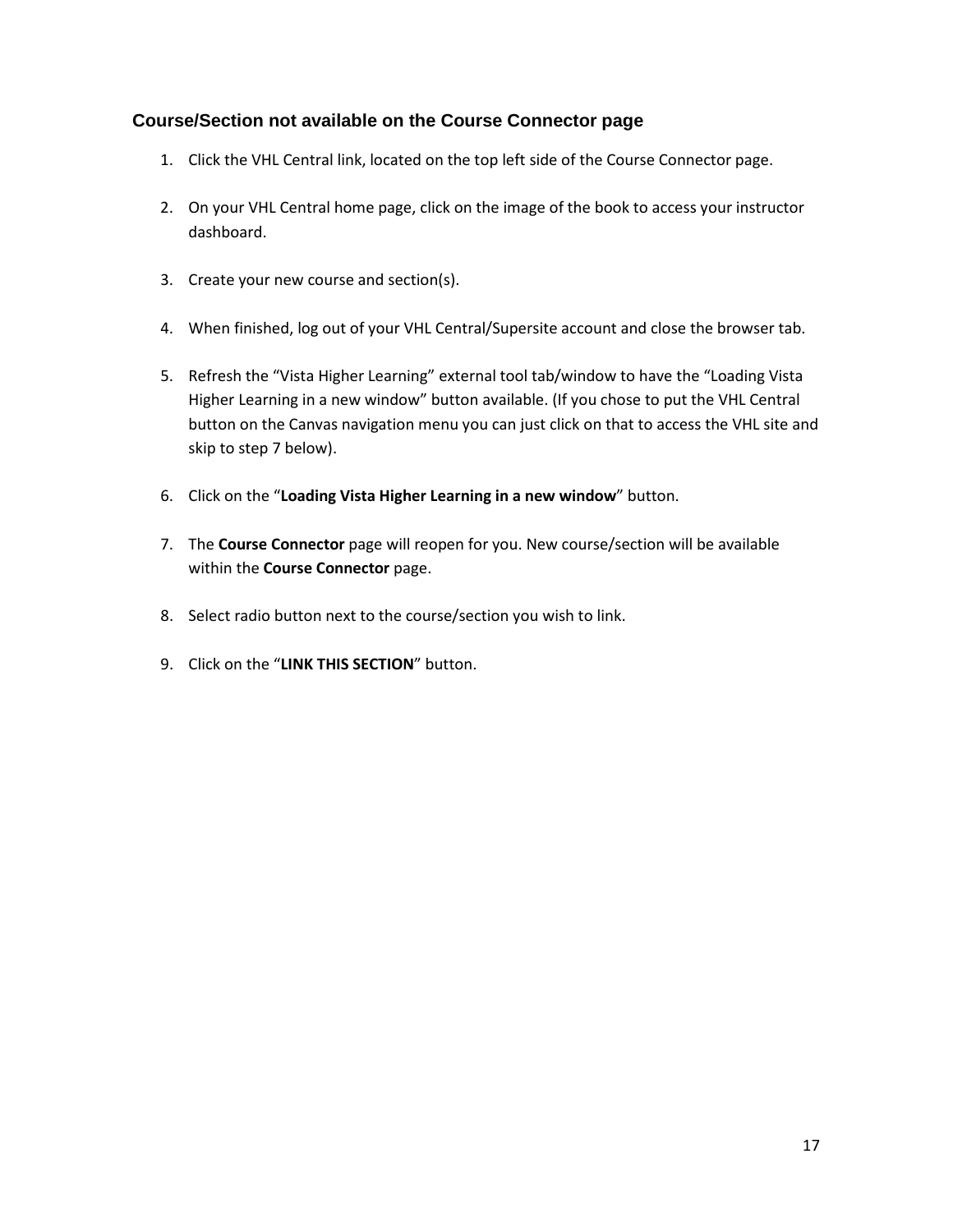#### **Course/Section not available on the Course Connector page**

- 1. Click the VHL Central link, located on the top left side of the Course Connector page.
- 2. On your VHL Central home page, click on the image of the book to access your instructor dashboard.
- 3. Create your new course and section(s).
- 4. When finished, log out of your VHL Central/Supersite account and close the browser tab.
- 5. Refresh the "Vista Higher Learning" external tool tab/window to have the "Loading Vista Higher Learning in a new window" button available. (If you chose to put the VHL Central button on the Canvas navigation menu you can just click on that to access the VHL site and skip to step 7 below).
- 6. Click on the "**Loading Vista Higher Learning in a new window**" button.
- 7. The **Course Connector** page will reopen for you. New course/section will be available within the **Course Connector** page.
- 8. Select radio button next to the course/section you wish to link.
- 9. Click on the "**LINK THIS SECTION**" button.